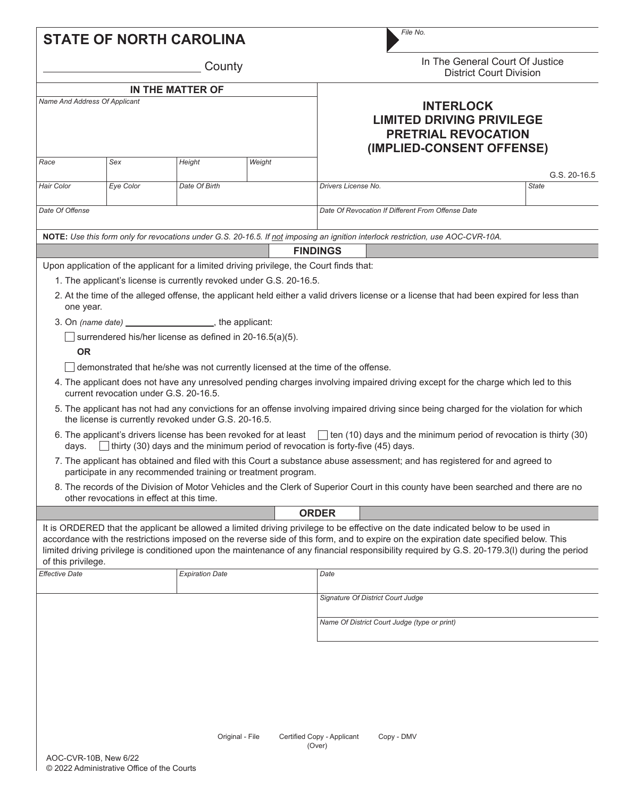|                               | <b>STATE OF NORTH CAROLINA</b>                                      |                        |                 | File No.                                                                                                                                                                                                                                                                                                                                                                                                                   |                                                                   |  |
|-------------------------------|---------------------------------------------------------------------|------------------------|-----------------|----------------------------------------------------------------------------------------------------------------------------------------------------------------------------------------------------------------------------------------------------------------------------------------------------------------------------------------------------------------------------------------------------------------------------|-------------------------------------------------------------------|--|
| County                        |                                                                     |                        |                 |                                                                                                                                                                                                                                                                                                                                                                                                                            | In The General Court Of Justice<br><b>District Court Division</b> |  |
| IN THE MATTER OF              |                                                                     |                        |                 |                                                                                                                                                                                                                                                                                                                                                                                                                            |                                                                   |  |
| Name And Address Of Applicant |                                                                     |                        |                 | <b>INTERLOCK</b><br><b>LIMITED DRIVING PRIVILEGE</b><br><b>PRETRIAL REVOCATION</b><br>(IMPLIED-CONSENT OFFENSE)                                                                                                                                                                                                                                                                                                            |                                                                   |  |
| Race                          | Sex                                                                 | Height                 | Weight          |                                                                                                                                                                                                                                                                                                                                                                                                                            | G.S. 20-16.5                                                      |  |
| <b>Hair Color</b>             | Eye Color                                                           | Date Of Birth          |                 | Drivers License No.                                                                                                                                                                                                                                                                                                                                                                                                        | <b>State</b>                                                      |  |
| Date Of Offense               |                                                                     |                        |                 | Date Of Revocation If Different From Offense Date                                                                                                                                                                                                                                                                                                                                                                          |                                                                   |  |
|                               |                                                                     |                        |                 | NOTE: Use this form only for revocations under G.S. 20-16.5. If not imposing an ignition interlock restriction, use AOC-CVR-10A.                                                                                                                                                                                                                                                                                           |                                                                   |  |
|                               |                                                                     |                        |                 | <b>FINDINGS</b>                                                                                                                                                                                                                                                                                                                                                                                                            |                                                                   |  |
|                               |                                                                     |                        |                 | Upon application of the applicant for a limited driving privilege, the Court finds that:                                                                                                                                                                                                                                                                                                                                   |                                                                   |  |
|                               | 1. The applicant's license is currently revoked under G.S. 20-16.5. |                        |                 |                                                                                                                                                                                                                                                                                                                                                                                                                            |                                                                   |  |
| one year.                     |                                                                     |                        |                 | 2. At the time of the alleged offense, the applicant held either a valid drivers license or a license that had been expired for less than                                                                                                                                                                                                                                                                                  |                                                                   |  |
|                               | 3. On (name date) _______________________, the applicant:           |                        |                 |                                                                                                                                                                                                                                                                                                                                                                                                                            |                                                                   |  |
|                               | surrendered his/her license as defined in 20-16.5(a)(5).            |                        |                 |                                                                                                                                                                                                                                                                                                                                                                                                                            |                                                                   |  |
| <b>OR</b>                     |                                                                     |                        |                 |                                                                                                                                                                                                                                                                                                                                                                                                                            |                                                                   |  |
|                               |                                                                     |                        |                 |                                                                                                                                                                                                                                                                                                                                                                                                                            |                                                                   |  |
|                               |                                                                     |                        |                 | demonstrated that he/she was not currently licensed at the time of the offense.                                                                                                                                                                                                                                                                                                                                            |                                                                   |  |
|                               | current revocation under G.S. 20-16.5.                              |                        |                 | 4. The applicant does not have any unresolved pending charges involving impaired driving except for the charge which led to this                                                                                                                                                                                                                                                                                           |                                                                   |  |
|                               | the license is currently revoked under G.S. 20-16.5.                |                        |                 | 5. The applicant has not had any convictions for an offense involving impaired driving since being charged for the violation for which                                                                                                                                                                                                                                                                                     |                                                                   |  |
| days.                         |                                                                     |                        |                 | 6. The applicant's drivers license has been revoked for at least $\Box$ ten (10) days and the minimum period of revocation is thirty (30)<br>$\Box$ thirty (30) days and the minimum period of revocation is forty-five (45) days.                                                                                                                                                                                         |                                                                   |  |
|                               | participate in any recommended training or treatment program.       |                        |                 | 7. The applicant has obtained and filed with this Court a substance abuse assessment; and has registered for and agreed to                                                                                                                                                                                                                                                                                                 |                                                                   |  |
|                               | other revocations in effect at this time.                           |                        |                 | 8. The records of the Division of Motor Vehicles and the Clerk of Superior Court in this county have been searched and there are no                                                                                                                                                                                                                                                                                        |                                                                   |  |
|                               |                                                                     |                        |                 | <b>ORDER</b>                                                                                                                                                                                                                                                                                                                                                                                                               |                                                                   |  |
| of this privilege.            |                                                                     |                        |                 | It is ORDERED that the applicant be allowed a limited driving privilege to be effective on the date indicated below to be used in<br>accordance with the restrictions imposed on the reverse side of this form, and to expire on the expiration date specified below. This<br>limited driving privilege is conditioned upon the maintenance of any financial responsibility required by G.S. 20-179.3(I) during the period |                                                                   |  |
| <b>Effective Date</b>         |                                                                     | <b>Expiration Date</b> |                 | Date                                                                                                                                                                                                                                                                                                                                                                                                                       |                                                                   |  |
|                               |                                                                     |                        |                 | Signature Of District Court Judge                                                                                                                                                                                                                                                                                                                                                                                          |                                                                   |  |
|                               |                                                                     |                        |                 | Name Of District Court Judge (type or print)                                                                                                                                                                                                                                                                                                                                                                               |                                                                   |  |
|                               |                                                                     |                        |                 |                                                                                                                                                                                                                                                                                                                                                                                                                            |                                                                   |  |
|                               |                                                                     |                        | Original - File | Certified Copy - Applicant<br>Copy - DMV                                                                                                                                                                                                                                                                                                                                                                                   |                                                                   |  |
| $AOC-CVR-1OR$ New 6/22        |                                                                     |                        |                 | (Over)                                                                                                                                                                                                                                                                                                                                                                                                                     |                                                                   |  |